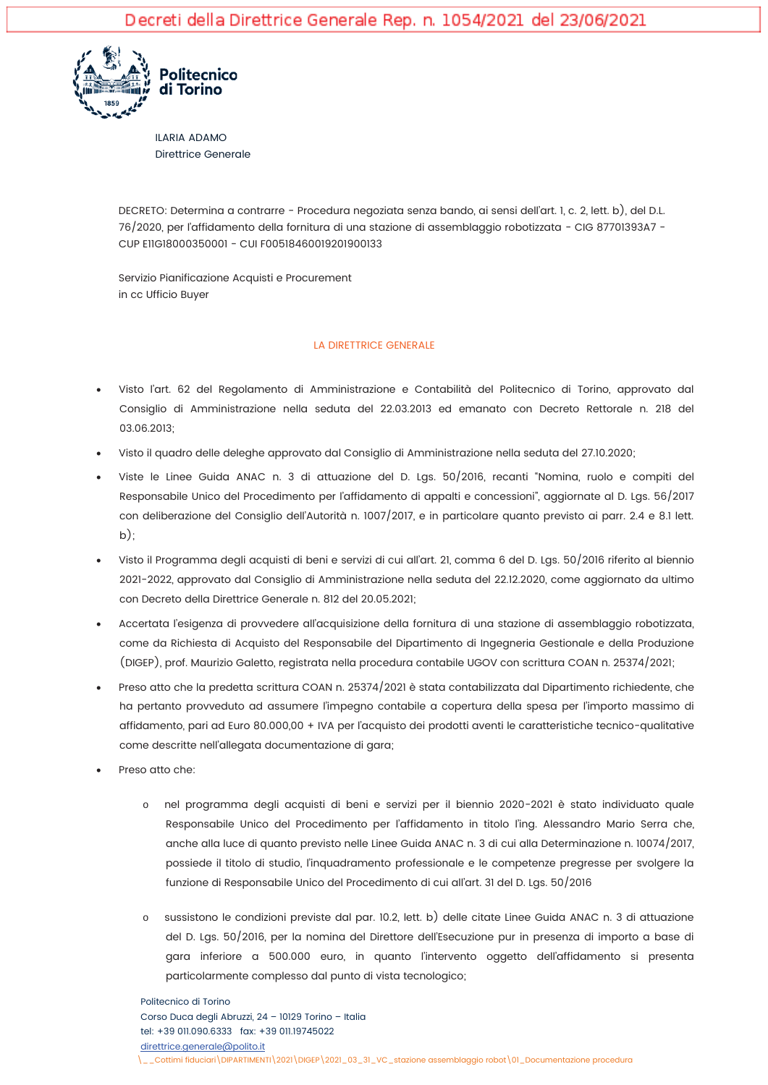

**ILARIA ADAMO Direttrice Generale** 

DECRETO: Determina a contrarre - Procedura negoziata senza bando, ai sensi dell'art. 1, c. 2, lett. b), del D.L. 76/2020, per l'affidamento della fornitura di una stazione di assemblaggio robotizzata - CIG 87701393A7 -CUP EIIG18000350001 - CUI F00518460019201900133

Servizio Pianificazione Acquisti e Procurement in cc Ufficio Buyer

## LA DIRETTRICE GENERALE

- Visto l'art. 62 del Regolamento di Amministrazione e Contabilità del Politecnico di Torino, approvato dal Consiglio di Amministrazione nella seduta del 22.03.2013 ed emanato con Decreto Rettorale n. 218 del 03.06.2013;
- Visto il quadro delle deleghe approvato dal Consiglio di Amministrazione nella seduta del 27.10.2020;
- Viste le Linee Guida ANAC n. 3 di attuazione del D. Las. 50/2016, recanti "Nomina, ruolo e compiti del Responsabile Unico del Procedimento per l'affidamento di appalti e concessioni", aggiornate al D. Lgs. 56/2017 con deliberazione del Consiglio dell'Autorità n. 1007/2017, e in particolare quanto previsto ai parr. 2.4 e 8.1 lett.  $b)$ :
- Visto il Programma degli acquisti di beni e servizi di cui all'art. 21, comma 6 del D. Lgs. 50/2016 riferito al biennio 2021-2022, approvato dal Consiglio di Amministrazione nella seduta del 22.12.2020, come aggiornato da ultimo con Decreto della Direttrice Generale n. 812 del 20.05.2021;
- Accertata l'esigenza di provvedere all'acquisizione della fornitura di una stazione di assemblaggio robotizzata, come da Richiesta di Acquisto del Responsabile del Dipartimento di Ingegneria Gestionale e della Produzione (DIGEP), prof. Maurizio Galetto, registrata nella procedura contabile UGOV con scrittura COAN n. 25374/2021;
- Preso atto che la predetta scrittura COAN n. 25374/2021 è stata contabilizzata dal Dipartimento richiedente, che ha pertanto provveduto ad assumere l'impegno contabile a copertura della spesa per l'importo massimo di affidamento, pari ad Euro 80.000,00 + IVA per l'acquisto dei prodotti aventi le caratteristiche tecnico-qualitative come descritte nell'allegata documentazione di gara;
- Preso atto che:
	- nel programma degli acquisti di beni e servizi per il biennio 2020-2021 è stato individuato quale  $\cap$ Responsabile Unico del Procedimento per l'affidamento in titolo l'ing. Alessandro Mario Serra che, anche alla luce di quanto previsto nelle Linee Guida ANAC n. 3 di cui alla Determinazione n. 10074/2017, possiede il titolo di studio, l'inquadramento professionale e le competenze pregresse per svolgere la funzione di Responsabile Unico del Procedimento di cui all'art. 31 del D. Las. 50/2016
	- sussistono le condizioni previste dal par. 10.2, lett. b) delle citate Linee Guida ANAC n. 3 di attuazione  $\circ$ del D. Lgs. 50/2016, per la nomina del Direttore dell'Esecuzione pur in presenza di importo a base di gara inferiore a 500.000 euro, in quanto l'intervento oggetto dell'affidamento si presenta particolarmente complesso dal punto di vista tecnologico;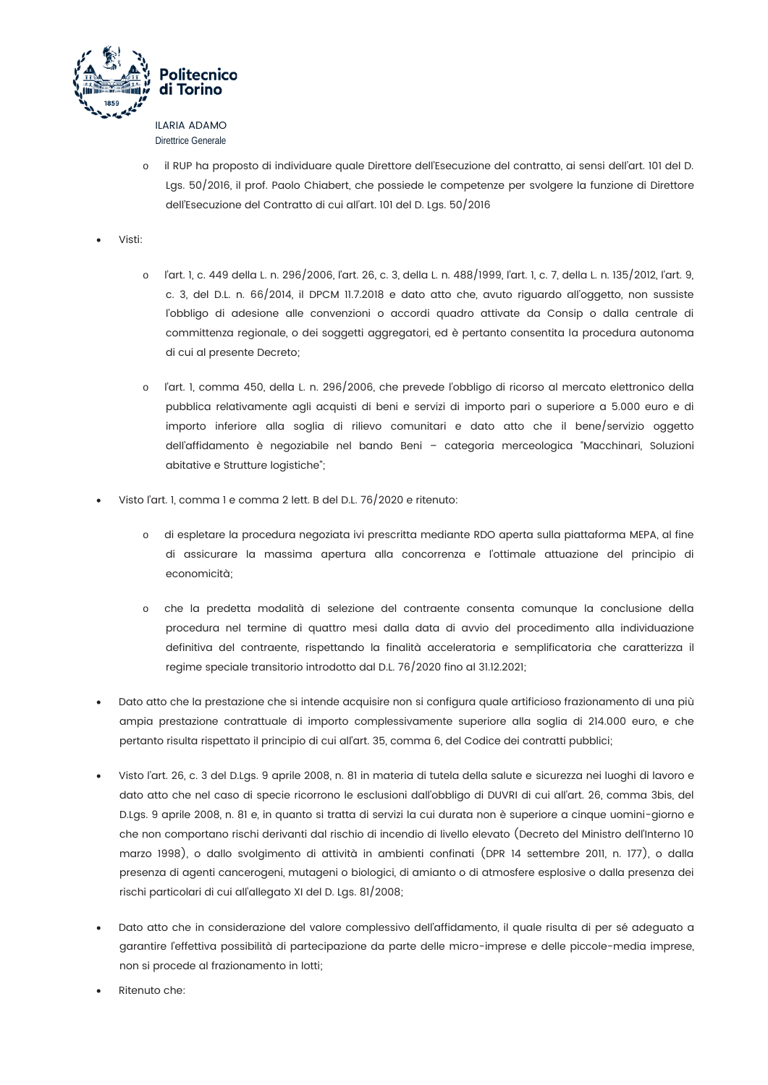

**Direttrice Generale** 

- il RUP ha proposto di individuare quale Direttore dell'Esecuzione del contratto, ai sensi dell'art. 101 del D. Lgs. 50/2016, il prof. Paolo Chiabert, che possiede le competenze per svolgere la funzione di Direttore dell'Esecuzione del Contratto di cui all'art. 101 del D. Lgs. 50/2016
- Visti:
	- l'art. 1, c. 449 della L. n. 296/2006, l'art. 26, c. 3, della L. n. 488/1999, l'art. 1, c. 7, della L. n. 135/2012, l'art. 9, c. 3, del D.L. n. 66/2014, il DPCM 11.7.2018 e dato atto che, avuto riguardo all'oggetto, non sussiste l'obbligo di adesione alle convenzioni o accordi quadro attivate da Consip o dalla centrale di committenza regionale, o dei soggetti aggregatori, ed è pertanto consentita la procedura autonoma di cui al presente Decreto;
	- l'art. I, comma 450, della L. n. 296/2006, che prevede l'obbligo di ricorso al mercato elettronico della  $\circ$ pubblica relativamente agli acquisti di beni e servizi di importo pari o superiore a 5.000 euro e di importo inferiore alla soglia di rilievo comunitari e dato atto che il bene/servizio oggetto dell'affidamento è negoziabile nel bando Beni - categoria merceologica "Macchinari, Soluzioni abitative e Strutture logistiche";
- Visto l'art. 1, comma 1 e comma 2 lett. B del D.L. 76/2020 e ritenuto:
	- di espletare la procedura negoziata ivi prescritta mediante RDO aperta sulla piattaforma MEPA, al fine  $\circ$ di assicurare la massima apertura alla concorrenza e l'ottimale attuazione del principio di economicità;
	- che la predetta modalità di selezione del contraente consenta comunque la conclusione della  $\cap$ procedura nel termine di quattro mesi dalla data di avvio del procedimento alla individuazione definitiva del contraente, rispettando la finalità acceleratoria e semplificatoria che caratterizza il regime speciale transitorio introdotto dal D.L. 76/2020 fino al 31.12.2021;
- Dato atto che la prestazione che si intende acauisire non si confiaura augle artificioso frazionamento di una più ampia prestazione contrattuale di importo complessivamente superiore alla soglia di 214.000 euro, e che pertanto risulta rispettato il principio di cui all'art. 35, comma 6, del Codice dei contratti pubblici;
- Visto l'art. 26, c. 3 del D.Lgs. 9 aprile 2008, n. 81 in materia di tutela della salute e sicurezza nei luoghi di lavoro e  $\bullet$ dato atto che nel caso di specie ricorrono le esclusioni dall'obbligo di DUVRI di cui all'art. 26, comma 3bis, del D.Lgs. 9 aprile 2008, n. 81 e, in quanto si tratta di servizi la cui durata non è superiore a cinque uomini-giorno e che non comportano rischi derivanti dal rischio di incendio di livello elevato (Decreto del Ministro dell'Interno 10 marzo 1998), o dallo svolgimento di attività in ambienti confinati (DPR 14 settembre 2011, n. 177), o dalla presenza di agenti cancerogeni, mutageni o biologici, di amianto o di atmosfere esplosive o dalla presenza dei rischi particolari di cui all'allegato XI del D. Las. 81/2008;
- Dato atto che in considerazione del valore complessivo dell'affidamento, il quale risulta di per sé adeguato a garantire l'effettiva possibilità di partecipazione da parte delle micro-imprese e delle piccole-media imprese, non si procede al frazionamento in lotti;
- Ritenuto che: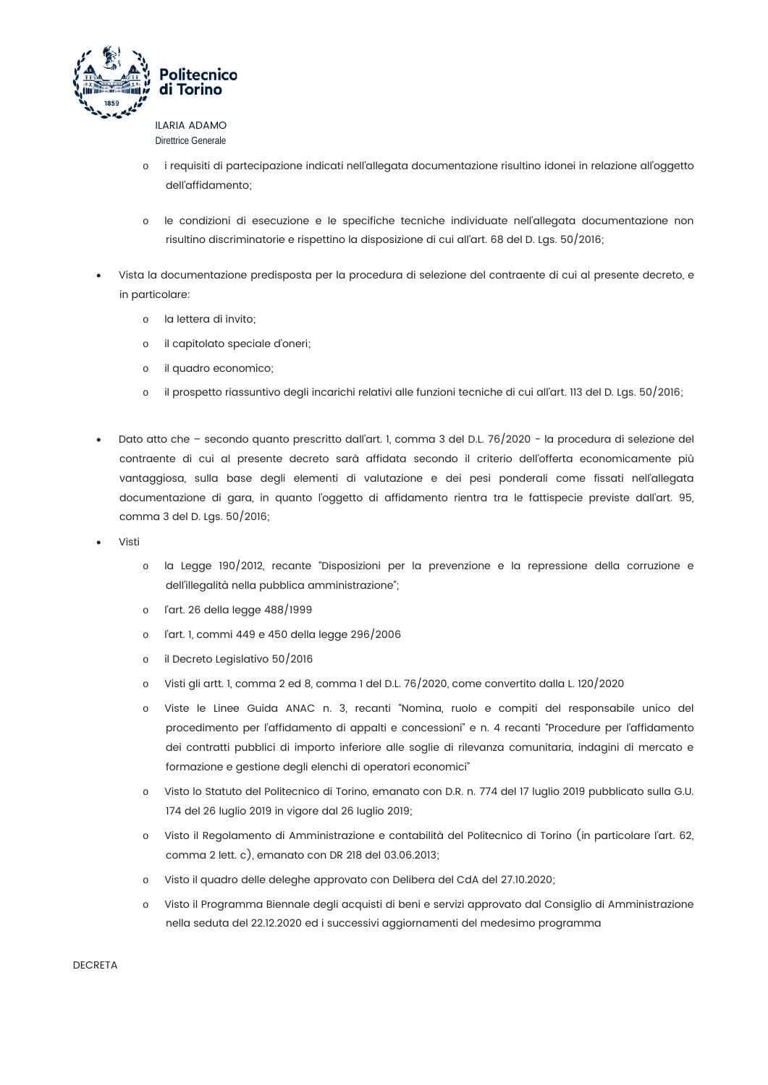

**Direttrice Generale** 

- i requisiti di partecipazione indicati nell'allegata documentazione risultino idonei in relazione all'oggetto dell'affidamento:
- le condizioni di esecuzione e le specifiche tecniche individuate nell'allegata documentazione non risultino discriminatorie e rispettino la disposizione di cui all'art. 68 del D. Lgs. 50/2016;
- Vista la documentazione predisposta per la procedura di selezione del contraente di cui al presente decreto, e in particolare:
	- o la lettera di invito;
	- il capitolato speciale d'oneri;  $\circ$
	- il quadro economico;  $\circ$
	- il prospetto riassuntivo degli incarichi relativi alle funzioni tecniche di cui all'art. 113 del D. Lgs. 50/2016;  $\sim$
- Dato atto che secondo quanto prescritto dall'art. 1, comma 3 del D.L. 76/2020 la procedura di selezione del contraente di cui al presente decreto sarà affidata secondo il criterio dell'offerta economicamente più vantaggiosa, sulla base degli elementi di valutazione e dei pesi ponderali come fissati nell'allegata documentazione di gara, in quanto l'oggetto di affidamento rientra tra le fattispecie previste dall'art. 95, comma 3 del D. Las. 50/2016;
- Visti
	- o la Legge 190/2012, recante "Disposizioni per la prevenzione e la repressione della corruzione e dell'illegalità nella pubblica amministrazione";
	- l'art. 26 della legge 488/1999  $\circ$
	- l'art. 1, commi 449 e 450 della legge 296/2006  $\circ$
	- il Decreto Legislativo 50/2016  $\sim$
	- Visti gli artt. 1, comma 2 ed 8, comma 1 del D.L. 76/2020, come convertito dalla L. 120/2020  $\circ$
	- Viste le Linee Guida ANAC n. 3, recanti "Nomina, ruolo e compiti del responsabile unico del  $\circ$ procedimento per l'affidamento di appalti e concessioni" e n. 4 recanti "Procedure per l'affidamento dei contratti pubblici di importo inferiore alle soglie di rilevanza comunitaria, indagini di mercato e formazione e gestione degli elenchi di operatori economici"
	- Visto lo Statuto del Politecnico di Torino, emanato con D.R. n. 774 del 17 luglio 2019 pubblicato sulla G.U. 174 del 26 luglio 2019 in vigore dal 26 luglio 2019;
	- Visto il Regolamento di Amministrazione e contabilità del Politecnico di Torino (in particolare l'art. 62,  $\circ$ comma 2 lett. c), emanato con DR 218 del 03.06.2013;
	- Visto il quadro delle deleghe approvato con Delibera del CdA del 27.10.2020;  $\circ$
	- $\circ$ Visto il Programma Biennale degli acquisti di beni e servizi approvato dal Consiglio di Amministrazione nella seduta del 22.12.2020 ed i successivi aggiornamenti del medesimo programma

**DECRETA**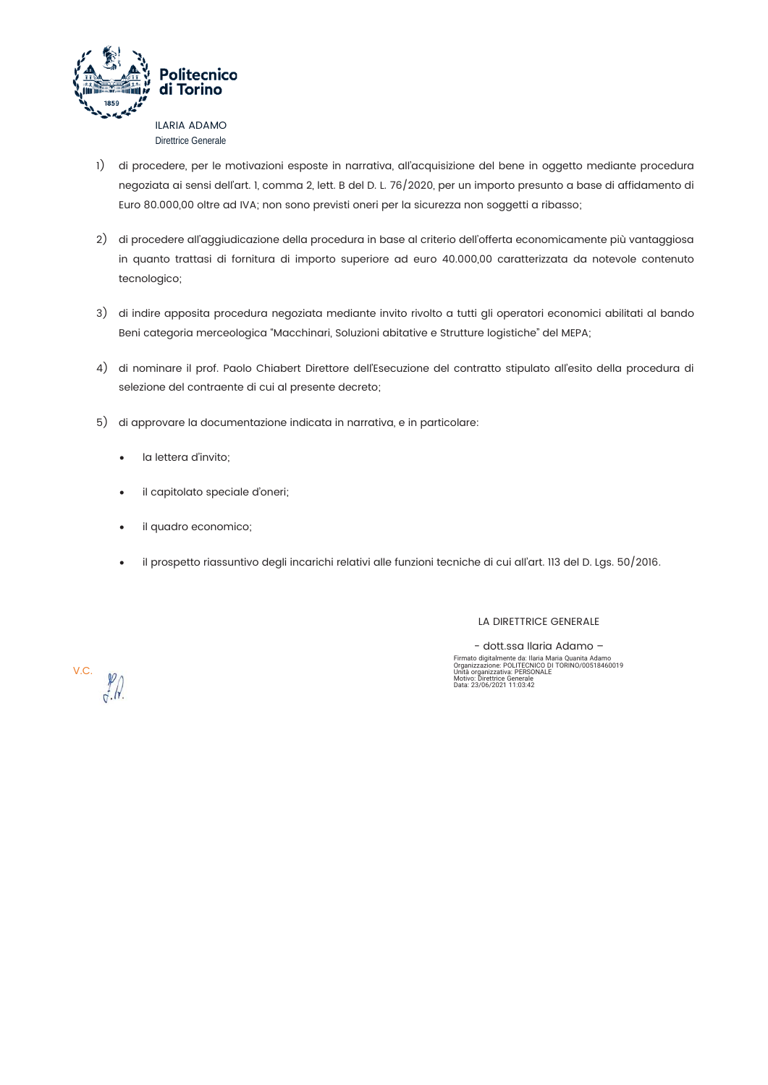

- 1) di procedere, per le motivazioni esposte in narrativa, all'acquisizione del bene in oggetto mediante procedura negoziata ai sensi dell'art. 1, comma 2, lett. B del D. L. 76/2020, per un importo presunto a base di affidamento di Euro 80.000,00 oltre ad IVA; non sono previsti oneri per la sicurezza non soggetti a ribasso;
- 2) di procedere all'aggiudicazione della procedura in base al criterio dell'offerta economicamente più vantaggiosa in quanto trattasi di fornitura di importo superiore ad euro 40.000,00 caratterizzata da notevole contenuto tecnologico;
- 3) di indire apposita procedura negoziata mediante invito rivolto a tutti gli operatori economici abilitati al bando Beni categoria merceologica "Macchinari, Soluzioni abitative e Strutture logistiche" del MEPA;
- 4) di nominare il prof. Paolo Chiabert Direttore dell'Esecuzione del contratto stipulato all'esito della procedura di selezione del contraente di cui al presente decreto;
- 5) di approvare la documentazione indicata in narrativa, e in particolare:
	- la lettera d'invito:  $\blacksquare$
	- il capitolato speciale d'oneri;  $\bullet$
	- il quadro economico;  $\ddot{\phantom{1}}$
	- il prospetto riassuntivo degli incarichi relativi alle funzioni tecniche di cui all'art. 113 del D. Lgs. 50/2016.  $\bullet$

LA DIRETTRICE GENERALE

- dott.ssa Ilaria Adamo -Firmato digitalmente da: Ilaria Maria Quanita Adamo<br>Organizzazione: POLITECNICO DI TORINO/00518460019<br>Unità organizzazione: POLITECNICO DI TORINO/00518460019<br>Unità organizzativa: PERSONALE<br>Motivo: Direttrice Generale

V.C.  $\frac{\cancel{p}}{\cancel{q}}$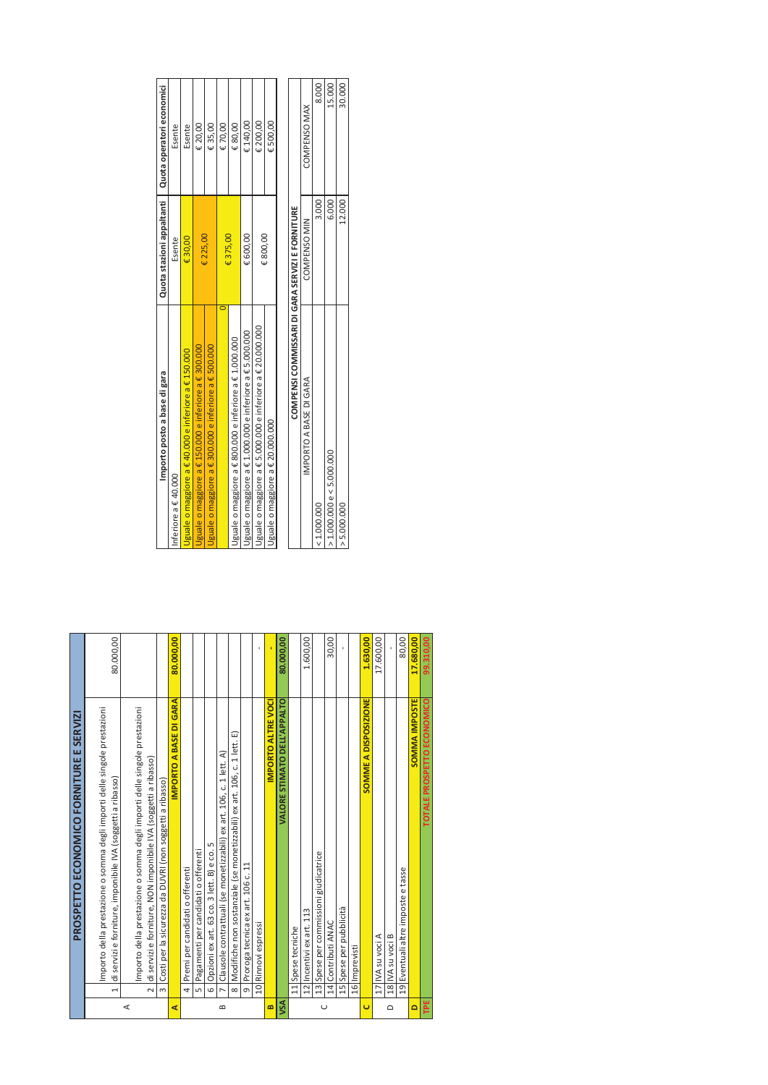| 99.310,00 | TOTALE PROSPETTO ECONOMICO                                                                                                                                     | TPE                      |
|-----------|----------------------------------------------------------------------------------------------------------------------------------------------------------------|--------------------------|
| 17.680,00 | <b>SOMMA IMPOSTE</b>                                                                                                                                           | $\overline{\phantom{0}}$ |
| 80,00     | 19 Eventuali altre imposte e tasse                                                                                                                             |                          |
|           | 18 IVA su voci B                                                                                                                                               | $\Omega$                 |
| 17.600,00 | 17 IVA su voci A                                                                                                                                               |                          |
| 1.630,00  | SOMME A DISPOSIZIONE                                                                                                                                           | Ō                        |
|           | 16 Imprevisti                                                                                                                                                  |                          |
|           | 15 Spese per pubblicità                                                                                                                                        |                          |
| 30,00     | 14 Contributi ANAC                                                                                                                                             |                          |
|           | 13 Spese per commissioni giudicatrice                                                                                                                          | $\cup$                   |
| 1.600,00  | 12 Incentivi ex art. 113                                                                                                                                       |                          |
|           | 11 Spese tecniche                                                                                                                                              |                          |
| 80.000,00 | VALORE STIMATO DELL'APPALTO                                                                                                                                    | VSA                      |
|           | IMPORTO ALTRE VOCI                                                                                                                                             | B                        |
|           | 10 Rinnovi espressi                                                                                                                                            |                          |
|           | Proroga tecnica ex art. 106 c. 11<br>$\sigma$                                                                                                                  |                          |
|           | Modifiche non sostanziale (se monetizzabili) ex art. 106, c. 1 lett. E)<br>$\infty$                                                                            |                          |
|           | Clausole contrattuali (se monetizzabili) ex art. 106, c. 1 lett. A)<br>N                                                                                       | $\mathbf{a}$             |
|           | Opzioni ex art. 63 co. 3 lett. B) e co. 5<br>$\circ$                                                                                                           |                          |
|           | Pagamenti per candidati o offerenti<br>ഗ                                                                                                                       |                          |
|           | Premi per candidati o offerenti<br>$\overline{a}$                                                                                                              |                          |
| 80.000,00 | IMPORTO A BASE DI GARA                                                                                                                                         | ⋖                        |
|           | Costi per la sicurezza da DUVRI (non soggetti a ribasso)<br>$\infty$                                                                                           |                          |
|           | Importo della prestazione o somma degli importi delle singole prestazioni<br>di servizi e forniture, NON imponibile IVA (soggetti a ribasso)<br>$\overline{N}$ | $\prec$                  |
| 80.000,00 | di servizi e forniture, imponibile IVA (soggetti a ribasso)<br>$\overline{ }$                                                                                  |                          |
|           | Importo della prestazione o somma degli importi delle singole prestazioni                                                                                      |                          |
|           | PROSPETTO ECONOMICO FORNITURE E SERVIZI                                                                                                                        |                          |
|           |                                                                                                                                                                |                          |

|   | Costi per la sicurezza da DUVRI (non soggetti a ribasso)                                      |           | Importo posto a base di gara                                           | Quota stazioni appaltanti | Quota operatori economici |
|---|-----------------------------------------------------------------------------------------------|-----------|------------------------------------------------------------------------|---------------------------|---------------------------|
|   | IMPORTO A BASE DI GARA                                                                        | 80.000,00 | nteriore a € 40.000                                                    | Esente                    | Esente                    |
|   | 4 Premi per candidati o offerenti                                                             |           | Uguale o maggiore a $\epsilon$ 40.000 e inferiore a $\epsilon$ 150.000 | €30,00                    | Esente                    |
|   | Pagamenti per candidati o offerenti                                                           |           | Uguale o maggiore a € 150.000 e inferiore a € 300.000                  | € 225,00                  | € 20,00                   |
|   | Opzioni ex art. 63 co. 3 lett. B) e co. 5<br>$\overline{6}$                                   |           | Uguale o maggiore a € 300.000 e inferiore a € 500.000                  |                           | €35,00                    |
| ക | 7 Clausole contrattuali (se monetizzabili) ex art. 106, c. 1 lett. A)                         |           |                                                                        | €375,00                   | €70,00                    |
|   | Modifiche non sostanziale (se monetizzabili) ex art. 106, c. 1 lett. E)<br>$\overline{\circ}$ |           | Jguale o maggiore a € 800.000 e inferiore a € 1.000.000                |                           | €80,00                    |
|   | Proroga tecnica ex art. 106 c. 11<br>$\overline{9}$                                           |           | Jguale o maggiore a € 1.000.000 e inferiore a € 5.000.000              | € 600,00                  | € 140.00                  |
|   | 10 Rinnovi espressi                                                                           |           | Uguale o maggiore a € 5.000.000 e inferiore a € 20.000.000             | €800,00                   | € 200,00                  |
|   | <b>IMPORTO ALTRE VOCI</b>                                                                     |           | Uguale o maggiore a € 20.000.000                                       |                           | €500,00                   |
|   | <b>VALORE STIMATO DELL'APPALTO</b>                                                            | 80.000,00 |                                                                        |                           |                           |
|   | 11 Spese tecniche                                                                             |           | COMPENSI COMMISSARI DI GARA SERVIZI E FORNITURE                        |                           |                           |
|   | Incentivi ex art. 113                                                                         | 1.600,00  | IMPORTO A BASE DI GARA                                                 | COMPENSO MIN              | COMPENSO MAX              |
|   | Spese per commissioni giudicatrice<br>$\frac{3}{2}$                                           |           | 1.000.000                                                              | 3.000                     | 8.000                     |
|   | 14 Contributi ANAC                                                                            | 30,00     | > 1.000.000 e < 5.000.000                                              | 6.000                     | 15.000                    |
|   | 15 Spese per pubblicità                                                                       |           | > 5.000.000                                                            | 12.000                    | 30.000                    |
|   |                                                                                               |           |                                                                        |                           |                           |

| e tecnich |             | COMPENSI COMMISSARI DI GARA SERVIZI E FORNITURE |                     |              |
|-----------|-------------|-------------------------------------------------|---------------------|--------------|
| lexal     | 8<br>1.600, | IMPORTO A BASE DI GARA                          | <b>COMPENSO MIN</b> | COMPENSO MAX |
|           |             | 1.000.000                                       | 3.000               | 8.000        |
|           | 8<br>ລິ     | 1.000.000 e < 5.000.000                         | 5.000               | 15.000       |
|           |             | 5.000.000                                       | $-2.000$            | 30.000       |
|           |             |                                                 |                     |              |